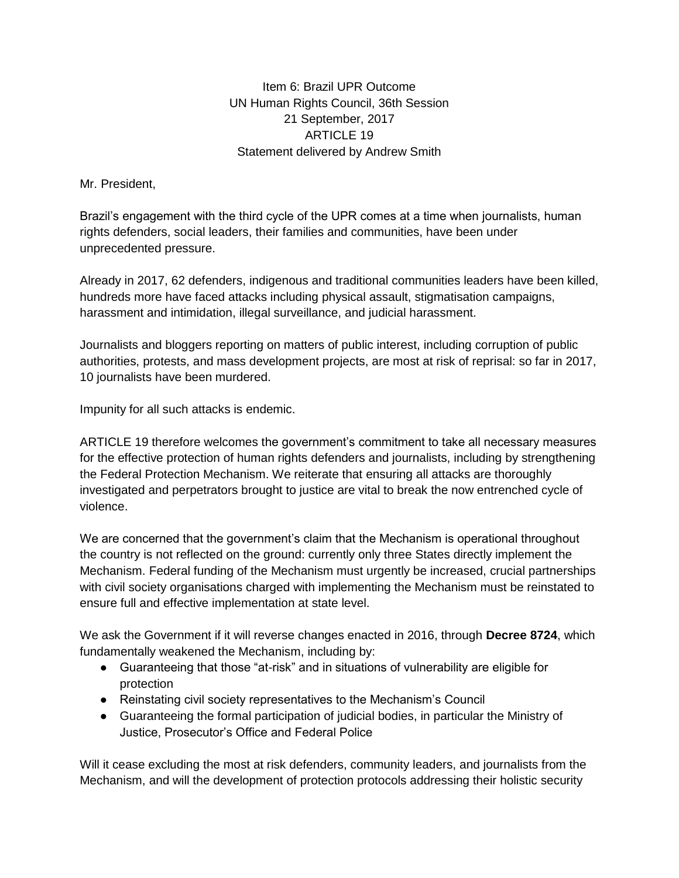Item 6: Brazil UPR Outcome UN Human Rights Council, 36th Session 21 September, 2017 ARTICLE 19 Statement delivered by Andrew Smith

Mr. President,

Brazil's engagement with the third cycle of the UPR comes at a time when journalists, human rights defenders, social leaders, their families and communities, have been under unprecedented pressure.

Already in 2017, 62 defenders, indigenous and traditional communities leaders have been killed, hundreds more have faced attacks including physical assault, stigmatisation campaigns, harassment and intimidation, illegal surveillance, and judicial harassment.

Journalists and bloggers reporting on matters of public interest, including corruption of public authorities, protests, and mass development projects, are most at risk of reprisal: so far in 2017, 10 journalists have been murdered.

Impunity for all such attacks is endemic.

ARTICLE 19 therefore welcomes the government's commitment to take all necessary measures for the effective protection of human rights defenders and journalists, including by strengthening the Federal Protection Mechanism. We reiterate that ensuring all attacks are thoroughly investigated and perpetrators brought to justice are vital to break the now entrenched cycle of violence.

We are concerned that the government's claim that the Mechanism is operational throughout the country is not reflected on the ground: currently only three States directly implement the Mechanism. Federal funding of the Mechanism must urgently be increased, crucial partnerships with civil society organisations charged with implementing the Mechanism must be reinstated to ensure full and effective implementation at state level.

We ask the Government if it will reverse changes enacted in 2016, through **Decree 8724**, which fundamentally weakened the Mechanism, including by:

- Guaranteeing that those "at-risk" and in situations of vulnerability are eligible for protection
- Reinstating civil society representatives to the Mechanism's Council
- Guaranteeing the formal participation of judicial bodies, in particular the Ministry of Justice, Prosecutor's Office and Federal Police

Will it cease excluding the most at risk defenders, community leaders, and journalists from the Mechanism, and will the development of protection protocols addressing their holistic security